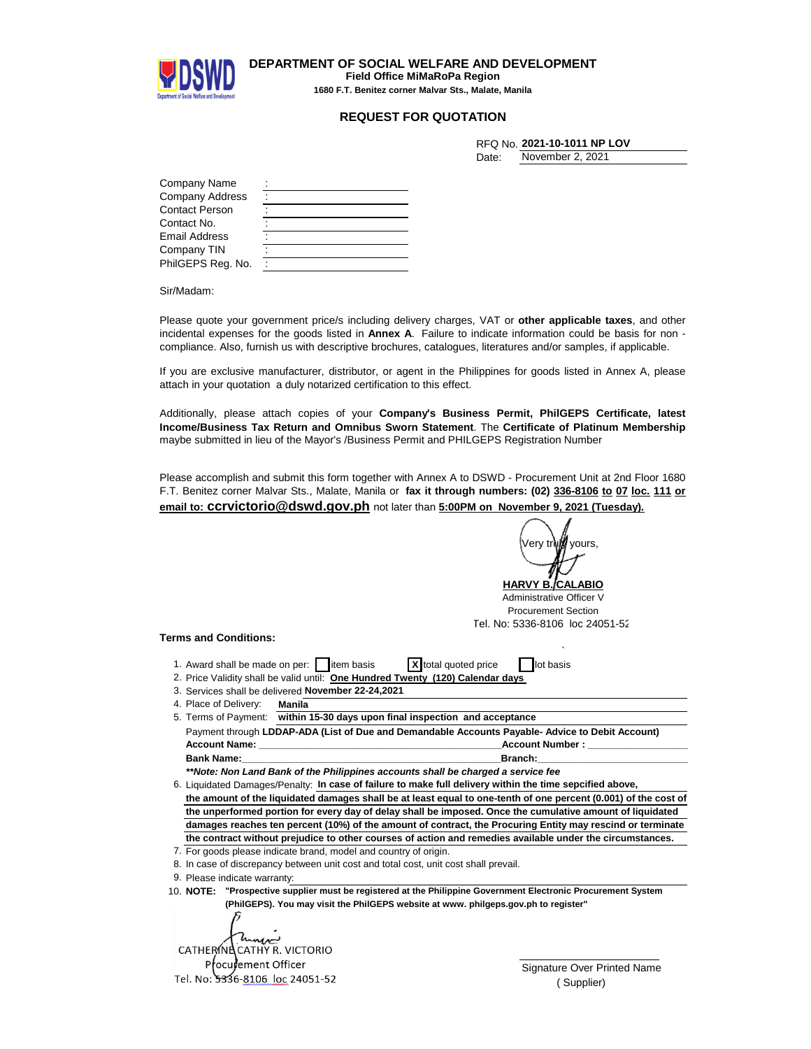

**DEPARTMENT OF SOCIAL WELFARE AND DEVELOPMENT Field Office MiMaRoPa Region 1680 F.T. Benitez corner Malvar Sts., Malate, Manila**

## **REQUEST FOR QUOTATION**

|       | RFQ No. 2021-10-1011 NP LOV |
|-------|-----------------------------|
| Date: | November 2, 2021            |

| Company Name           |  |
|------------------------|--|
| <b>Company Address</b> |  |
| <b>Contact Person</b>  |  |
| Contact No.            |  |
| <b>Email Address</b>   |  |
| Company TIN            |  |
| PhilGEPS Reg. No.      |  |

Sir/Madam:

Please quote your government price/s including delivery charges, VAT or **other applicable taxes**, and other incidental expenses for the goods listed in **Annex A**. Failure to indicate information could be basis for non compliance. Also, furnish us with descriptive brochures, catalogues, literatures and/or samples, if applicable.

If you are exclusive manufacturer, distributor, or agent in the Philippines for goods listed in Annex A, please attach in your quotation a duly notarized certification to this effect.

Additionally, please attach copies of your **Company's Business Permit, PhilGEPS Certificate, latest Income/Business Tax Return and Omnibus Sworn Statement**. The **Certificate of Platinum Membership** maybe submitted in lieu of the Mayor's /Business Permit and PHILGEPS Registration Number

Please accomplish and submit this form together with Annex A to DSWD - Procurement Unit at 2nd Floor 1680 F.T. Benitez corner Malvar Sts., Malate, Manila or **fax it through numbers: (02) 336-8106 to 07 loc. 111 or email to: ccrvictorio@dswd.gov.ph** not later than **5:00PM on November 9, 2021 (Tuesday).**

|                                                                                                                                                                                                                               | Very tr <b>∖i<i>∭</i> yours</b> , |
|-------------------------------------------------------------------------------------------------------------------------------------------------------------------------------------------------------------------------------|-----------------------------------|
|                                                                                                                                                                                                                               |                                   |
|                                                                                                                                                                                                                               |                                   |
|                                                                                                                                                                                                                               | <b>HARVY B. CALABIO</b>           |
|                                                                                                                                                                                                                               | Administrative Officer V          |
|                                                                                                                                                                                                                               | <b>Procurement Section</b>        |
|                                                                                                                                                                                                                               | Tel. No: 5336-8106 loc 24051-52   |
| <b>Terms and Conditions:</b>                                                                                                                                                                                                  |                                   |
|                                                                                                                                                                                                                               |                                   |
| 1. Award shall be made on per: item basis                                                                                                                                                                                     | X total quoted price<br>lot basis |
| 2. Price Validity shall be valid until: One Hundred Twenty (120) Calendar days                                                                                                                                                |                                   |
| 3. Services shall be delivered November 22-24,2021                                                                                                                                                                            |                                   |
| 4. Place of Delivery:<br>Manila                                                                                                                                                                                               |                                   |
| 5. Terms of Payment: within 15-30 days upon final inspection and acceptance                                                                                                                                                   |                                   |
| Payment through LDDAP-ADA (List of Due and Demandable Accounts Payable-Advice to Debit Account)                                                                                                                               |                                   |
| Account Name: The contract of the contract of the contract of the contract of the contract of the contract of the contract of the contract of the contract of the contract of the contract of the contract of the contract of | <b>Account Number:</b>            |
| <b>Bank Name:</b>                                                                                                                                                                                                             | Branch:                           |
| **Note: Non Land Bank of the Philippines accounts shall be charged a service fee                                                                                                                                              |                                   |
| 6. Liquidated Damages/Penalty: In case of failure to make full delivery within the time sepcified above,                                                                                                                      |                                   |
| the amount of the liquidated damages shall be at least equal to one-tenth of one percent (0.001) of the cost of                                                                                                               |                                   |
| the unperformed portion for every day of delay shall be imposed. Once the cumulative amount of liquidated                                                                                                                     |                                   |
| damages reaches ten percent (10%) of the amount of contract, the Procuring Entity may rescind or terminate                                                                                                                    |                                   |
| the contract without prejudice to other courses of action and remedies available under the circumstances.                                                                                                                     |                                   |
| 7. For goods please indicate brand, model and country of origin.                                                                                                                                                              |                                   |
| 8. In case of discrepancy between unit cost and total cost, unit cost shall prevail.                                                                                                                                          |                                   |
| 9. Please indicate warranty:                                                                                                                                                                                                  |                                   |
| 10. NOTE: "Prospective supplier must be registered at the Philippine Government Electronic Procurement System                                                                                                                 |                                   |
| (PhilGEPS). You may visit the PhilGEPS website at www. philgeps.gov.ph to register"                                                                                                                                           |                                   |
|                                                                                                                                                                                                                               |                                   |
|                                                                                                                                                                                                                               |                                   |
|                                                                                                                                                                                                                               |                                   |

Procurement Officer Tel. No: 5336-8106 loc 24051-52 CATHERINE CATHY R. VICTORIO

Signature Over Printed Name ( Supplier)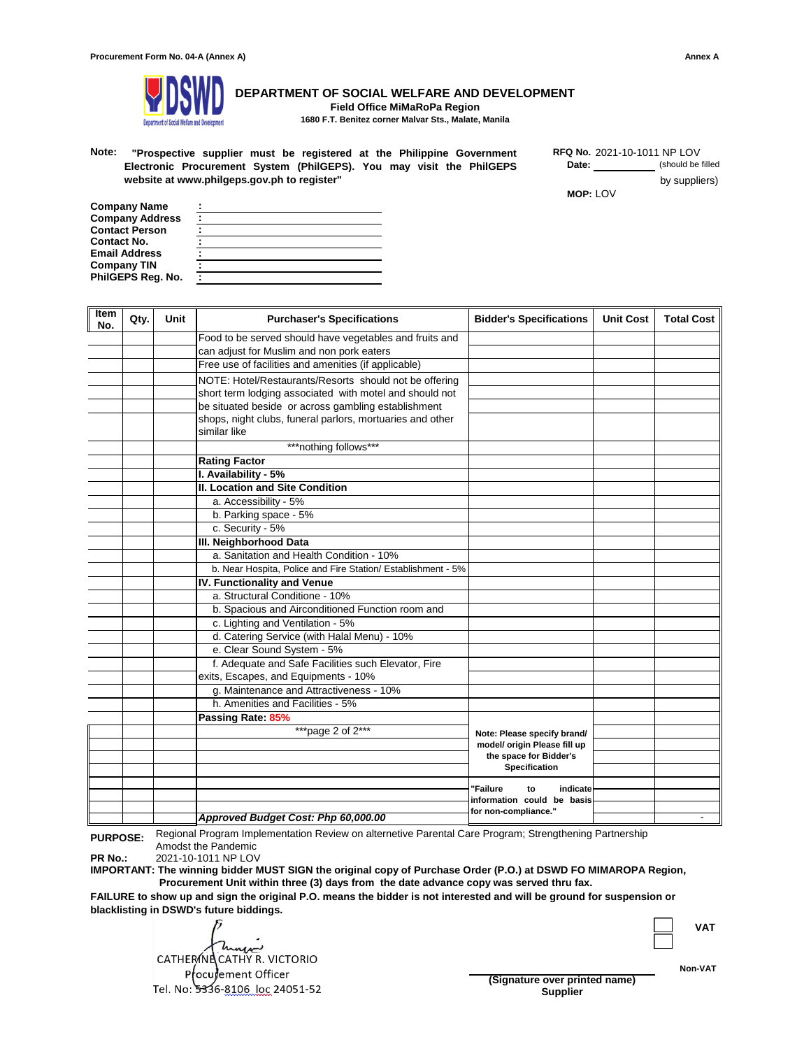

**DEPARTMENT OF SOCIAL WELFARE AND DEVELOPMENT Field Office MiMaRoPa Region**

**1680 F.T. Benitez corner Malvar Sts., Malate, Manila**

**Note:** 2021-10-1011 NP LOV **"Prospective supplier must be registered at the Philippine Government Electronic Procurement System (PhilGEPS). You may visit the PhilGEPS website at www.philgeps.gov.ph to register"** 

**Date:** (should be filled by suppliers) **MOP:** LOV **RFQ No.**

| Company Name           |  |
|------------------------|--|
| <b>Company Address</b> |  |
| <b>Contact Person</b>  |  |
| Contact No.            |  |
| Email Address          |  |
| Company TIN            |  |
| PhilGEPS Reg. No.      |  |

| Item<br>No. | Qty. | Unit | <b>Purchaser's Specifications</b>                            | <b>Bidder's Specifications</b>                 | <b>Unit Cost</b> | <b>Total Cost</b> |
|-------------|------|------|--------------------------------------------------------------|------------------------------------------------|------------------|-------------------|
|             |      |      | Food to be served should have vegetables and fruits and      |                                                |                  |                   |
|             |      |      | can adjust for Muslim and non pork eaters                    |                                                |                  |                   |
|             |      |      | Free use of facilities and amenities (if applicable)         |                                                |                  |                   |
|             |      |      | NOTE: Hotel/Restaurants/Resorts should not be offering       |                                                |                  |                   |
|             |      |      | short term lodging associated with motel and should not      |                                                |                  |                   |
|             |      |      | be situated beside or across gambling establishment          |                                                |                  |                   |
|             |      |      | shops, night clubs, funeral parlors, mortuaries and other    |                                                |                  |                   |
|             |      |      | similar like                                                 |                                                |                  |                   |
|             |      |      | ***nothing follows***                                        |                                                |                  |                   |
|             |      |      | <b>Rating Factor</b>                                         |                                                |                  |                   |
|             |      |      | I. Availability - 5%                                         |                                                |                  |                   |
|             |      |      | II. Location and Site Condition                              |                                                |                  |                   |
|             |      |      | a. Accessibility - 5%                                        |                                                |                  |                   |
|             |      |      | b. Parking space - 5%                                        |                                                |                  |                   |
|             |      |      | c. Security - 5%                                             |                                                |                  |                   |
|             |      |      | III. Neighborhood Data                                       |                                                |                  |                   |
|             |      |      | a. Sanitation and Health Condition - 10%                     |                                                |                  |                   |
|             |      |      | b. Near Hospita, Police and Fire Station/ Establishment - 5% |                                                |                  |                   |
|             |      |      | IV. Functionality and Venue                                  |                                                |                  |                   |
|             |      |      | a. Structural Conditione - 10%                               |                                                |                  |                   |
|             |      |      | b. Spacious and Airconditioned Function room and             |                                                |                  |                   |
|             |      |      | c. Lighting and Ventilation - 5%                             |                                                |                  |                   |
|             |      |      | d. Catering Service (with Halal Menu) - 10%                  |                                                |                  |                   |
|             |      |      | e. Clear Sound System - 5%                                   |                                                |                  |                   |
|             |      |      | f. Adequate and Safe Facilities such Elevator, Fire          |                                                |                  |                   |
|             |      |      | exits, Escapes, and Equipments - 10%                         |                                                |                  |                   |
|             |      |      | g. Maintenance and Attractiveness - 10%                      |                                                |                  |                   |
|             |      |      | h. Amenities and Facilities - 5%                             |                                                |                  |                   |
|             |      |      | Passing Rate: 85%                                            |                                                |                  |                   |
|             |      |      | ***page 2 of 2***                                            | Note: Please specify brand/                    |                  |                   |
|             |      |      |                                                              | model/ origin Please fill up                   |                  |                   |
|             |      |      |                                                              | the space for Bidder's<br><b>Specification</b> |                  |                   |
|             |      |      |                                                              |                                                |                  |                   |
|             |      |      |                                                              | 'Failure<br>indicate<br>to                     |                  |                   |
|             |      |      |                                                              | information could be basis                     |                  |                   |
|             |      |      | Approved Budget Cost: Php 60,000.00                          | for non-compliance."                           |                  |                   |

**PURPOSE:** Regional Program Implementation Review on alternetive Parental Care Program; Strengthening Partnership Amodst the Pandemic

**PR No.:** 2021-10-1011 NP LOV

**IMPORTANT: The winning bidder MUST SIGN the original copy of Purchase Order (P.O.) at DSWD FO MIMAROPA Region, Procurement Unit within three (3) days from the date advance copy was served thru fax.**

**FAILURE to show up and sign the original P.O. means the bidder is not interested and will be ground for suspension or blacklisting in DSWD's future biddings.**

me **CATHERINE CATHY R. VICTORIO Procurement Officer (Signature over printed name)**

**VAT**

**Non-VAT**

**Supplier**